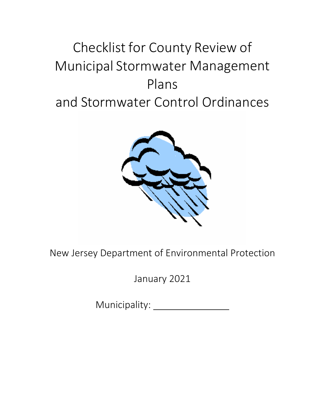# Checklist for County Review of Municipal Stormwater Management Plans and Stormwater Control Ordinances



New Jersey Department of Environmental Protection

January 2021

Municipality: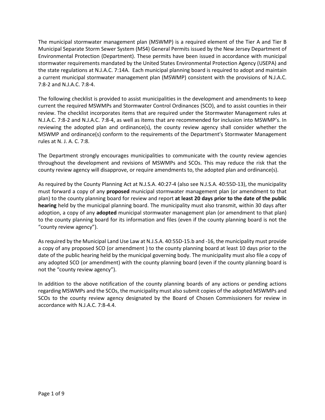The municipal stormwater management plan (MSWMP) is a required element of the Tier A and Tier B Municipal Separate Storm Sewer System (MS4) General Permits issued by the New Jersey Department of Environmental Protection (Department). These permits have been issued in accordance with municipal stormwater requirements mandated by the United States Environmental Protection Agency (USEPA) and the state regulations at N.J.A.C. 7:14A. Each municipal planning board is required to adopt and maintain a current municipal stormwater management plan (MSWMP) consistent with the provisions of N.J.A.C. 7:8-2 and N.J.A.C. 7:8-4.

The following checklist is provided to assist municipalities in the development and amendments to keep current the required MSWMPs and Stormwater Control Ordinances (SCO), and to assist counties in their review. The checklist incorporates items that are required under the Stormwater Management rules at N.J.A.C. 7:8-2 and N.J.A.C. 7:8-4, as well as items that are recommended for inclusion into MSWMP's. In reviewing the adopted plan and ordinance(s), the county review agency shall consider whether the MSWMP and ordinance(s) conform to the requirements of the Department's Stormwater Management rules at N. J. A. C. 7:8.

The Department strongly encourages municipalities to communicate with the county review agencies throughout the development and revisions of MSWMPs and SCOs. This may reduce the risk that the county review agency will disapprove, or require amendments to, the adopted plan and ordinance(s).

As required by the County Planning Act at N.J.S.A. 40:27-4 (also see N.J.S.A. 40:55D-13), the municipality must forward a copy of any **proposed** municipal stormwater management plan (or amendment to that plan) to the county planning board for review and report **at least 20 days prior to the date of the public hearing** held by the municipal planning board. The municipality must also transmit, within 30 days after adoption, a copy of any **adopted** municipal stormwater management plan (or amendment to that plan) to the county planning board for its information and files (even if the county planning board is not the "county review agency").

As required by the Municipal Land Use Law at N.J.S.A. 40:55D-15.b and -16, the municipality must provide a copy of any proposed SCO (or amendment ) to the county planning board at least 10 days prior to the date of the public hearing held by the municipal governing body. The municipality must also file a copy of any adopted SCO (or amendment) with the county planning board (even if the county planning board is not the "county review agency").

In addition to the above notification of the county planning boards of any actions or pending actions regarding MSWMPs and the SCOs, the municipality must also submit copies of the adopted MSWMPs and SCOs to the county review agency designated by the Board of Chosen Commissioners for review in accordance with N.J.A.C. 7:8-4.4.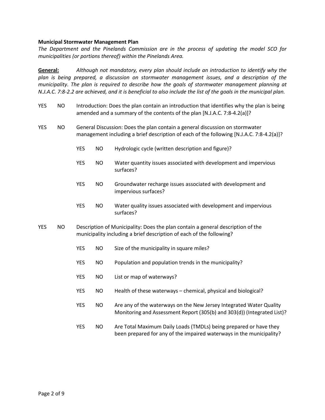#### **Municipal Stormwater Management Plan**

*The Department and the Pinelands Commission are in the process of updating the model SCO for municipalities (or portions thereof) within the Pinelands Area.*

**General:** *Although not mandatory, every plan should include an introduction to identify why the plan is being prepared, a discussion on stormwater management issues, and a description of the municipality. The plan is required to describe how the goals of stormwater management planning at N.J.A.C. 7:8-2.2 are achieved, and it is beneficial to also include the list of the goals in the municipal plan.*

- YES NO Introduction: Does the plan contain an introduction that identifies why the plan is being amended and a summary of the contents of the plan [N.J.A.C. 7:8-4.2(a)]? YES NO General Discussion: Does the plan contain a general discussion on stormwater management including a brief description of each of the following [N.J.A.C. 7:8-4.2(a)]? YES NO Hydrologic cycle (written description and figure)? YES NO Water quantity issues associated with development and impervious surfaces? YES NO Groundwater recharge issues associated with development and impervious surfaces? YES NO Water quality issues associated with development and impervious surfaces? YES NO Description of Municipality: Does the plan contain a general description of the municipality including a brief description of each of the following? YES NO Size of the municipality in square miles? YES NO Population and population trends in the municipality? YES NO List or map of waterways? YES NO Health of these waterways – chemical, physical and biological? YES NO Are any of the waterways on the New Jersey Integrated Water Quality Monitoring and Assessment Report (305(b) and 303(d)) (Integrated List)?
	- YES NO Are Total Maximum Daily Loads (TMDLs) being prepared or have they been prepared for any of the impaired waterways in the municipality?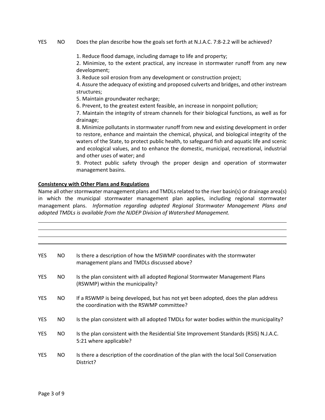#### YES NO Does the plan describe how the goals set forth at N.J.A.C. 7:8-2.2 will be achieved?

1. Reduce flood damage, including damage to life and property;

2. Minimize, to the extent practical, any increase in stormwater runoff from any new development;

3. Reduce soil erosion from any development or construction project;

4. Assure the adequacy of existing and proposed culverts and bridges, and other instream structures;

5. Maintain groundwater recharge;

6. Prevent, to the greatest extent feasible, an increase in nonpoint pollution;

7. Maintain the integrity of stream channels for their biological functions, as well as for drainage;

8. Minimize pollutants in stormwater runoff from new and existing development in order to restore, enhance and maintain the chemical, physical, and biological integrity of the waters of the State, to protect public health, to safeguard fish and aquatic life and scenic and ecological values, and to enhance the domestic, municipal, recreational, industrial and other uses of water; and

9. Protect public safety through the proper design and operation of stormwater management basins.

#### **Consistency with Other Plans and Regulations**

Name all other stormwater management plans and TMDLs related to the river basin(s) or drainage area(s) in which the municipal stormwater management plan applies, including regional stormwater management plans. *Information regarding adopted Regional Stormwater Management Plans and adopted TMDLs is available from the NJDEP Division of Watershed Management.*

| <b>YES</b> | NO. | Is there a description of how the MSWMP coordinates with the stormwater<br>management plans and TMDLs discussed above?           |
|------------|-----|----------------------------------------------------------------------------------------------------------------------------------|
| <b>YES</b> | NO. | Is the plan consistent with all adopted Regional Stormwater Management Plans<br>(RSWMP) within the municipality?                 |
| <b>YES</b> | NO. | If a RSWMP is being developed, but has not yet been adopted, does the plan address<br>the coordination with the RSWMP committee? |
| <b>YES</b> | NO. | Is the plan consistent with all adopted TMDLs for water bodies within the municipality?                                          |
| <b>YES</b> | NO. | Is the plan consistent with the Residential Site Improvement Standards (RSIS) N.J.A.C.<br>5:21 where applicable?                 |
| <b>YES</b> | NO. | Is there a description of the coordination of the plan with the local Soil Conservation<br>District?                             |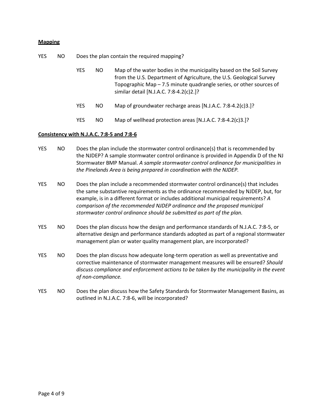#### **Mapping**

YES NO Does the plan contain the required mapping?

| YES. | NO. | Map of the water bodies in the municipality based on the Soil Survey |
|------|-----|----------------------------------------------------------------------|
|      |     | from the U.S. Department of Agriculture, the U.S. Geological Survey  |
|      |     | Topographic Map – 7.5 minute quadrangle series, or other sources of  |
|      |     | similar detail [N.J.A.C. 7:8-4.2(c)2.]?                              |

- YES NO Map of groundwater recharge areas [N.J.A.C. 7:8-4.2(c)3.]?
- YES NO Map of wellhead protection areas [N.J.A.C. 7:8-4.2(c)3.]?

#### **Consistency with N.J.A.C. 7:8-5 and 7:8-6**

- YES NO Does the plan include the stormwater control ordinance(s) that is recommended by the NJDEP? A sample stormwater control ordinance is provided in Appendix D of the NJ Stormwater BMP Manual. *A sample stormwater control ordinance for municipalities in the Pinelands Area is being prepared in coordination with the NJDEP.*
- YES NO Does the plan include a recommended stormwater control ordinance(s) that includes the same substantive requirements as the ordinance recommended by NJDEP, but, for example, is in a different format or includes additional municipal requirements? *A comparison of the recommended NJDEP ordinance and the proposed municipal stormwater control ordinance should be submitted as part of the plan.*
- YES NO Does the plan discuss how the design and performance standards of N.J.A.C. 7:8-5, or alternative design and performance standards adopted as part of a regional stormwater management plan or water quality management plan, are incorporated?
- YES NO Does the plan discuss how adequate long-term operation as well as preventative and corrective maintenance of stormwater management measures will be ensured? *Should discuss compliance and enforcement actions to be taken by the municipality in the event of non-compliance.*
- YES NO Does the plan discuss how the Safety Standards for Stormwater Management Basins, as outlined in N.J.A.C. 7:8-6, will be incorporated?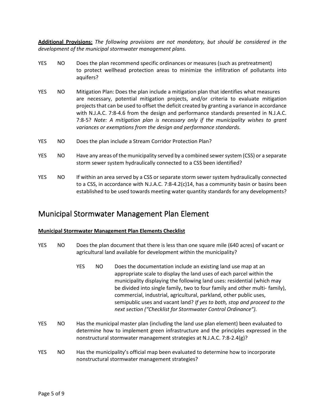**Additional Provisions:** *The following provisions are not mandatory, but should be considered in the development of the municipal stormwater management plans.*

- YES NO Does the plan recommend specific ordinances or measures (such as pretreatment) to protect wellhead protection areas to minimize the infiltration of pollutants into aquifers?
- YES NO Mitigation Plan: Does the plan include a mitigation plan that identifies what measures are necessary, potential mitigation projects, and/or criteria to evaluate mitigation projects that can be used to offset the deficit created by granting a variance in accordance with N.J.A.C. 7:8-4.6 from the design and performance standards presented in N.J.A.C. 7:8-5? *Note: A mitigation plan is necessary only if the municipality wishes to grant variances or exemptions from the design and performance standards.*
- YES NO Does the plan include a Stream Corridor Protection Plan?
- YES NO Have any areas of the municipality served by a combined sewer system (CSS) or a separate storm sewer system hydraulically connected to a CSS been identified?
- YES NO If within an area served by a CSS or separate storm sewer system hydraulically connected to a CSS, in accordance with N.J.A.C. 7:8-4.2(c)14, has a community basin or basins been established to be used towards meeting water quantity standards for any developments?

### Municipal Stormwater Management Plan Element

#### **Municipal Stormwater Management Plan Elements Checklist**

- YES NO Does the plan document that there is less than one square mile (640 acres) of vacant or agricultural land available for development within the municipality?
	- YES NO Does the documentation include an existing land use map at an appropriate scale to display the land uses of each parcel within the municipality displaying the following land uses: residential (which may be divided into single family, two to four family and other multi- family), commercial, industrial, agricultural, parkland, other public uses, semipublic uses and vacant land? *If yes to both, stop and proceed to the next section ("Checklist for Stormwater Control Ordinance").*
- YES NO Has the municipal master plan (including the land use plan element) been evaluated to determine how to implement green infrastructure and the principles expressed in the nonstructural stormwater management strategies at N.J.A.C. 7:8-2.4(g)?
- YES NO Has the municipality's official map been evaluated to determine how to incorporate nonstructural stormwater management strategies?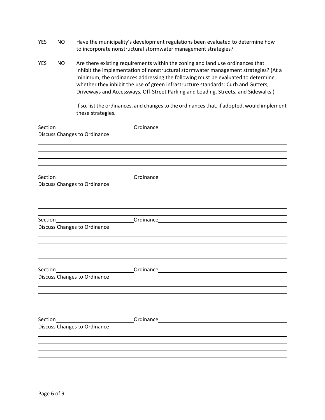| <b>YES</b><br>NO. |  | Have the municipality's development regulations been evaluated to determine how |
|-------------------|--|---------------------------------------------------------------------------------|
|                   |  | to incorporate nonstructural stormwater management strategies?                  |

YES NO Are there existing requirements within the zoning and land use ordinances that inhibit the implementation of nonstructural stormwater management strategies? (At a minimum, the ordinances addressing the following must be evaluated to determine whether they inhibit the use of green infrastructure standards: Curb and Gutters, Driveways and Accessways, Off-Street Parking and Loading, Streets, and Sidewalks.)

> If so, list the ordinances, and changes to the ordinances that, if adopted, would implement these strategies.

| <b>Discuss Changes to Ordinance</b> |                                                                                  |  |  |
|-------------------------------------|----------------------------------------------------------------------------------|--|--|
|                                     |                                                                                  |  |  |
|                                     |                                                                                  |  |  |
|                                     |                                                                                  |  |  |
|                                     |                                                                                  |  |  |
| <b>Discuss Changes to Ordinance</b> |                                                                                  |  |  |
|                                     |                                                                                  |  |  |
|                                     |                                                                                  |  |  |
|                                     |                                                                                  |  |  |
|                                     | Section__________________________________Ordinance______________________________ |  |  |
| <b>Discuss Changes to Ordinance</b> |                                                                                  |  |  |
|                                     |                                                                                  |  |  |
|                                     |                                                                                  |  |  |
|                                     |                                                                                  |  |  |
|                                     |                                                                                  |  |  |
| <b>Discuss Changes to Ordinance</b> |                                                                                  |  |  |
|                                     |                                                                                  |  |  |
|                                     |                                                                                  |  |  |
|                                     |                                                                                  |  |  |
|                                     |                                                                                  |  |  |
| <b>Discuss Changes to Ordinance</b> |                                                                                  |  |  |
|                                     |                                                                                  |  |  |
|                                     |                                                                                  |  |  |
|                                     |                                                                                  |  |  |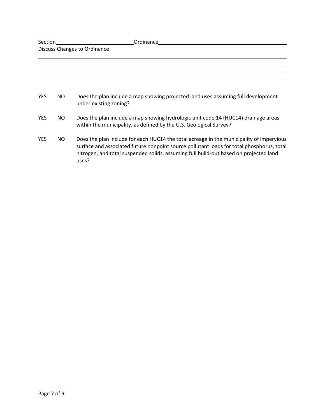| Section                             |     | Ordinance                                                                                                                                                                                                                                                                               |  |  |
|-------------------------------------|-----|-----------------------------------------------------------------------------------------------------------------------------------------------------------------------------------------------------------------------------------------------------------------------------------------|--|--|
| <b>Discuss Changes to Ordinance</b> |     |                                                                                                                                                                                                                                                                                         |  |  |
|                                     |     |                                                                                                                                                                                                                                                                                         |  |  |
|                                     |     |                                                                                                                                                                                                                                                                                         |  |  |
|                                     |     |                                                                                                                                                                                                                                                                                         |  |  |
|                                     |     |                                                                                                                                                                                                                                                                                         |  |  |
| <b>YES</b>                          | NO. | Does the plan include a map showing projected land uses assuming full development<br>under existing zoning?                                                                                                                                                                             |  |  |
| <b>YES</b>                          | NO. | Does the plan include a map showing hydrologic unit code 14 (HUC14) drainage areas<br>within the municipality, as defined by the U.S. Geological Survey?                                                                                                                                |  |  |
| <b>YES</b>                          | NO. | Does the plan include for each HUC14 the total acreage in the municipality of impervious<br>surface and associated future nonpoint source pollutant loads for total phosphorus, total<br>nitrogen, and total suspended solids, assuming full build-out based on projected land<br>uses? |  |  |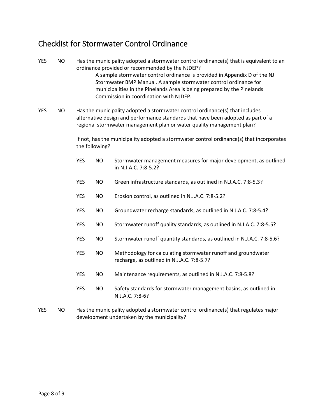## Checklist for Stormwater Control Ordinance

- YES NO Has the municipality adopted a stormwater control ordinance(s) that is equivalent to an ordinance provided or recommended by the NJDEP? A sample stormwater control ordinance is provided in Appendix D of the NJ Stormwater BMP Manual. A sample stormwater control ordinance for municipalities in the Pinelands Area is being prepared by the Pinelands Commission in coordination with NJDEP. YES NO Has the municipality adopted a stormwater control ordinance(s) that includes alternative design and performance standards that have been adopted as part of a regional stormwater management plan or water quality management plan? If not, has the municipality adopted a stormwater control ordinance(s) that incorporates the following? YES NO Stormwater management measures for major development, as outlined in N.J.A.C. 7:8-5.2? YES NO Green infrastructure standards, as outlined in N.J.A.C. 7:8-5.3? YES NO Erosion control, as outlined in N.J.A.C. 7:8-5.2? YES NO Groundwater recharge standards, as outlined in N.J.A.C. 7:8-5.4? YES NO Stormwater runoff quality standards, as outlined in N.J.A.C. 7:8-5.5? YES NO Stormwater runoff quantity standards, as outlined in N.J.A.C. 7:8-5.6? YES NO Methodology for calculating stormwater runoff and groundwater recharge, as outlined in N.J.A.C. 7:8-5.7? YES NO Maintenance requirements, as outlined in N.J.A.C. 7:8-5.8? YES NO Safety standards for stormwater management basins, as outlined in
- YES NO Has the municipality adopted a stormwater control ordinance(s) that regulates major development undertaken by the municipality?

N.J.A.C. 7:8-6?